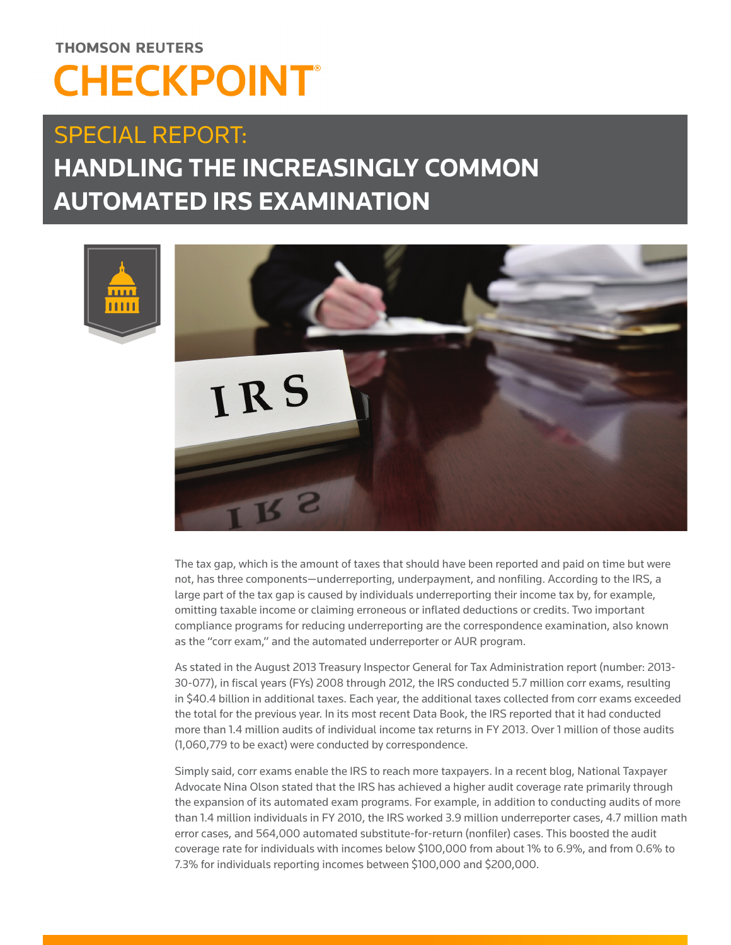# **THOMSON REUTERS CHECKPOINT®**

## SPECIAL REPORT: **HANDLING THE INCREASINGLY COMMON AUTOMATED IRS EXAMINATION**



The tax gap, which is the amount of taxes that should have been reported and paid on time but were not, has three components—underreporting, underpayment, and nonfiling. According to the IRS, a large part of the tax gap is caused by individuals underreporting their income tax by, for example, omitting taxable income or claiming erroneous or inflated deductions or credits. Two important compliance programs for reducing underreporting are the correspondence examination, also known as the "corr exam," and the automated underreporter or AUR program.

As stated in the August 2013 Treasury Inspector General for Tax Administration report (number: 2013- 30-077), in fiscal years (FYs) 2008 through 2012, the IRS conducted 5.7 million corr exams, resulting in \$40.4 billion in additional taxes. Each year, the additional taxes collected from corr exams exceeded the total for the previous year. In its most recent Data Book, the IRS reported that it had conducted more than 1.4 million audits of individual income tax returns in FY 2013. Over 1 million of those audits (1,060,779 to be exact) were conducted by correspondence.

Simply said, corr exams enable the IRS to reach more taxpayers. In a recent blog, National Taxpayer Advocate Nina Olson stated that the IRS has achieved a higher audit coverage rate primarily through the expansion of its automated exam programs. For example, in addition to conducting audits of more than 1.4 million individuals in FY 2010, the IRS worked 3.9 million underreporter cases, 4.7 million math error cases, and 564,000 automated substitute-for-return (nonfiler) cases. This boosted the audit coverage rate for individuals with incomes below \$100,000 from about 1% to 6.9%, and from 0.6% to 7.3% for individuals reporting incomes between \$100,000 and \$200,000.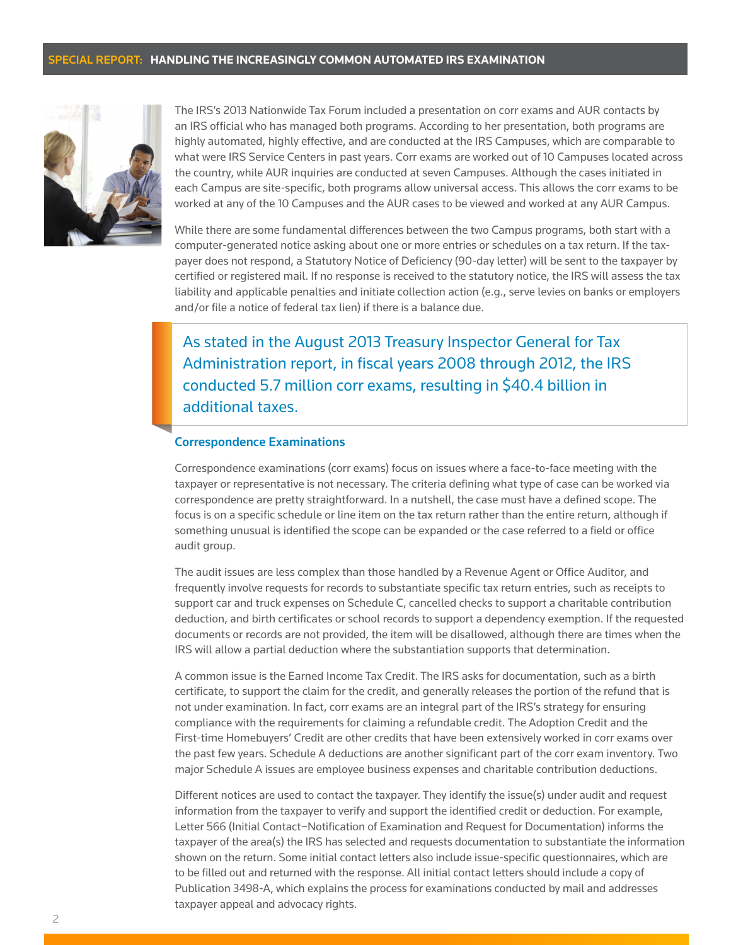

The IRS's 2013 Nationwide Tax Forum included a presentation on corr exams and AUR contacts by an IRS official who has managed both programs. According to her presentation, both programs are highly automated, highly effective, and are conducted at the IRS Campuses, which are comparable to what were IRS Service Centers in past years. Corr exams are worked out of 10 Campuses located across the country, while AUR inquiries are conducted at seven Campuses. Although the cases initiated in each Campus are site-specific, both programs allow universal access. This allows the corr exams to be worked at any of the 10 Campuses and the AUR cases to be viewed and worked at any AUR Campus.

While there are some fundamental differences between the two Campus programs, both start with a computer-generated notice asking about one or more entries or schedules on a tax return. If the taxpayer does not respond, a Statutory Notice of Deficiency (90-day letter) will be sent to the taxpayer by certified or registered mail. If no response is received to the statutory notice, the IRS will assess the tax liability and applicable penalties and initiate collection action (e.g., serve levies on banks or employers and/or file a notice of federal tax lien) if there is a balance due.

As stated in the August 2013 Treasury Inspector General for Tax Administration report, in fiscal years 2008 through 2012, the IRS conducted 5.7 million corr exams, resulting in \$40.4 billion in additional taxes.

#### Correspondence Examinations

Correspondence examinations (corr exams) focus on issues where a face-to-face meeting with the taxpayer or representative is not necessary. The criteria defining what type of case can be worked via correspondence are pretty straightforward. In a nutshell, the case must have a defined scope. The focus is on a specific schedule or line item on the tax return rather than the entire return, although if something unusual is identified the scope can be expanded or the case referred to a field or office audit group.

The audit issues are less complex than those handled by a Revenue Agent or Office Auditor, and frequently involve requests for records to substantiate specific tax return entries, such as receipts to support car and truck expenses on Schedule C, cancelled checks to support a charitable contribution deduction, and birth certificates or school records to support a dependency exemption. If the requested documents or records are not provided, the item will be disallowed, although there are times when the IRS will allow a partial deduction where the substantiation supports that determination.

A common issue is the Earned Income Tax Credit. The IRS asks for documentation, such as a birth certificate, to support the claim for the credit, and generally releases the portion of the refund that is not under examination. In fact, corr exams are an integral part of the IRS's strategy for ensuring compliance with the requirements for claiming a refundable credit. The Adoption Credit and the First-time Homebuyers' Credit are other credits that have been extensively worked in corr exams over the past few years. Schedule A deductions are another significant part of the corr exam inventory. Two major Schedule A issues are employee business expenses and charitable contribution deductions.

Different notices are used to contact the taxpayer. They identify the issue(s) under audit and request information from the taxpayer to verify and support the identified credit or deduction. For example, Letter 566 (Initial Contact−Notification of Examination and Request for Documentation) informs the taxpayer of the area(s) the IRS has selected and requests documentation to substantiate the information shown on the return. Some initial contact letters also include issue-specific questionnaires, which are to be filled out and returned with the response. All initial contact letters should include a copy of Publication 3498-A, which explains the process for examinations conducted by mail and addresses taxpayer appeal and advocacy rights.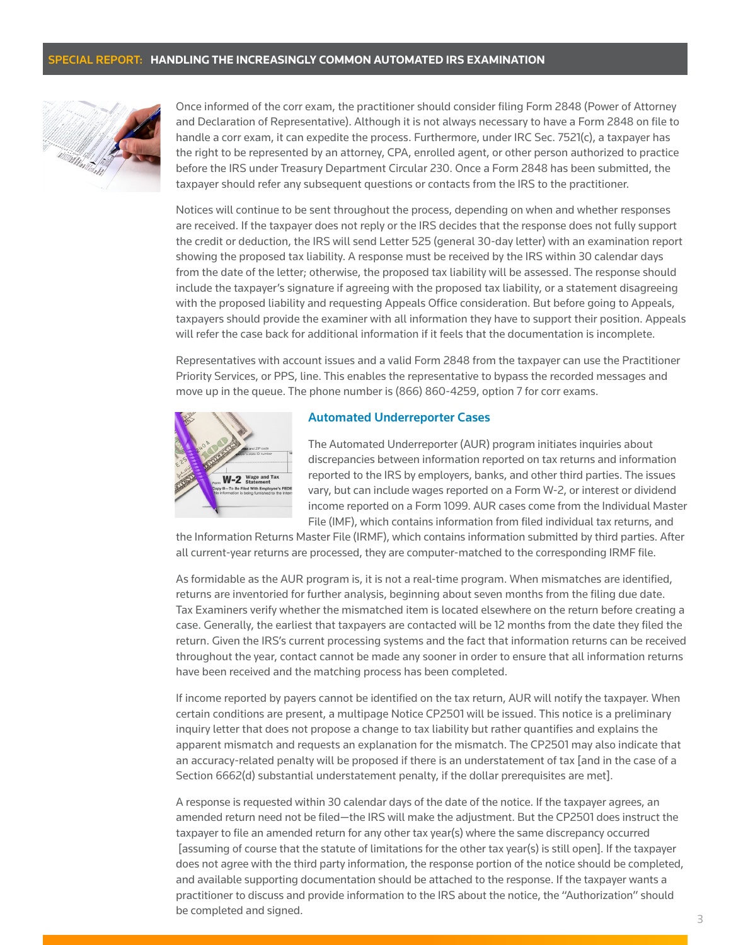

Once informed of the corr exam, the practitioner should consider filing Form 2848 (Power of Attorney and Declaration of Representative). Although it is not always necessary to have a Form 2848 on file to handle a corr exam, it can expedite the process. Furthermore, under IRC Sec. 7521(c), a taxpayer has the right to be represented by an attorney, CPA, enrolled agent, or other person authorized to practice before the IRS under Treasury Department Circular 230. Once a Form 2848 has been submitted, the taxpayer should refer any subsequent questions or contacts from the IRS to the practitioner.

Notices will continue to be sent throughout the process, depending on when and whether responses are received. If the taxpayer does not reply or the IRS decides that the response does not fully support the credit or deduction, the IRS will send Letter 525 (general 30-day letter) with an examination report showing the proposed tax liability. A response must be received by the IRS within 30 calendar days from the date of the letter; otherwise, the proposed tax liability will be assessed. The response should include the taxpayer's signature if agreeing with the proposed tax liability, or a statement disagreeing with the proposed liability and requesting Appeals Office consideration. But before going to Appeals, taxpayers should provide the examiner with all information they have to support their position. Appeals will refer the case back for additional information if it feels that the documentation is incomplete.

Representatives with account issues and a valid Form 2848 from the taxpayer can use the Practitioner Priority Services, or PPS, line. This enables the representative to bypass the recorded messages and move up in the queue. The phone number is (866) 860-4259, option 7 for corr exams.



#### Automated Underreporter Cases

The Automated Underreporter (AUR) program initiates inquiries about discrepancies between information reported on tax returns and information reported to the IRS by employers, banks, and other third parties. The issues vary, but can include wages reported on a Form W-2, or interest or dividend income reported on a Form 1099. AUR cases come from the Individual Master File (IMF), which contains information from filed individual tax returns, and

the Information Returns Master File (IRMF), which contains information submitted by third parties. After all current-year returns are processed, they are computer-matched to the corresponding IRMF file.

As formidable as the AUR program is, it is not a real-time program. When mismatches are identified, returns are inventoried for further analysis, beginning about seven months from the filing due date. Tax Examiners verify whether the mismatched item is located elsewhere on the return before creating a case. Generally, the earliest that taxpayers are contacted will be 12 months from the date they filed the return. Given the IRS's current processing systems and the fact that information returns can be received throughout the year, contact cannot be made any sooner in order to ensure that all information returns have been received and the matching process has been completed.

If income reported by payers cannot be identified on the tax return, AUR will notify the taxpayer. When certain conditions are present, a multipage Notice CP2501 will be issued. This notice is a preliminary inquiry letter that does not propose a change to tax liability but rather quantifies and explains the apparent mismatch and requests an explanation for the mismatch. The CP2501 may also indicate that an accuracy-related penalty will be proposed if there is an understatement of tax [and in the case of a Section 6662(d) substantial understatement penalty, if the dollar prerequisites are met].

A response is requested within 30 calendar days of the date of the notice. If the taxpayer agrees, an amended return need not be filed—the IRS will make the adjustment. But the CP2501 does instruct the taxpayer to file an amended return for any other tax year(s) where the same discrepancy occurred [assuming of course that the statute of limitations for the other tax year(s) is still open]. If the taxpayer does not agree with the third party information, the response portion of the notice should be completed, and available supporting documentation should be attached to the response. If the taxpayer wants a practitioner to discuss and provide information to the IRS about the notice, the "Authorization" should be completed and signed.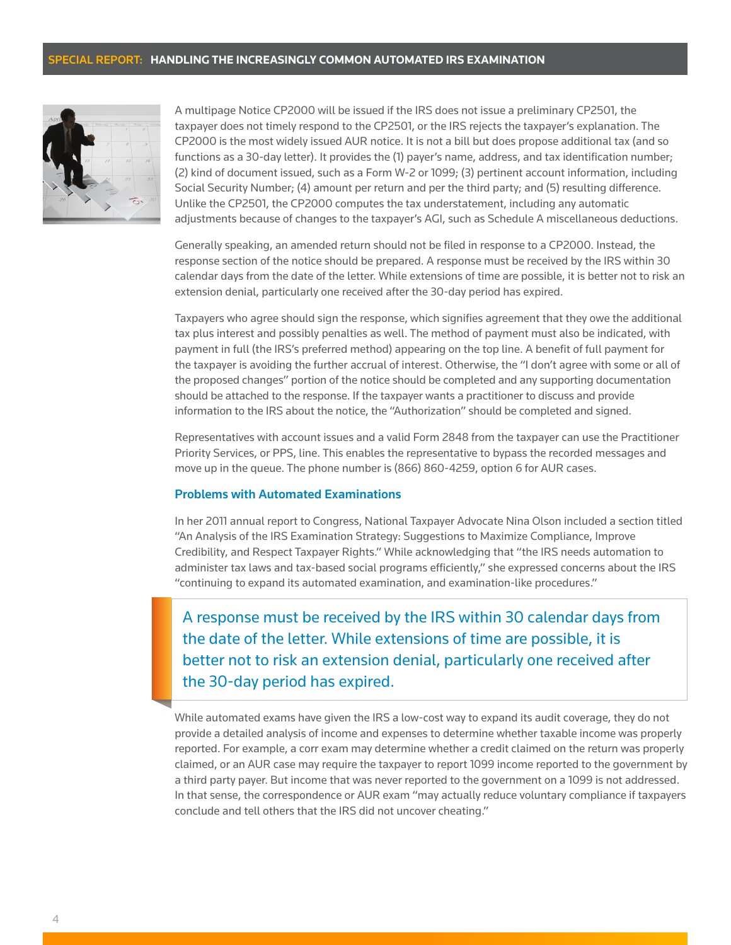

A multipage Notice CP2000 will be issued if the IRS does not issue a preliminary CP2501, the taxpayer does not timely respond to the CP2501, or the IRS rejects the taxpayer's explanation. The CP2000 is the most widely issued AUR notice. It is not a bill but does propose additional tax (and so functions as a 30-day letter). It provides the (1) payer's name, address, and tax identification number; (2) kind of document issued, such as a Form W-2 or 1099; (3) pertinent account information, including Social Security Number; (4) amount per return and per the third party; and (5) resulting difference. Unlike the CP2501, the CP2000 computes the tax understatement, including any automatic adjustments because of changes to the taxpayer's AGI, such as Schedule A miscellaneous deductions.

Generally speaking, an amended return should not be filed in response to a CP2000. Instead, the response section of the notice should be prepared. A response must be received by the IRS within 30 calendar days from the date of the letter. While extensions of time are possible, it is better not to risk an extension denial, particularly one received after the 30-day period has expired.

Taxpayers who agree should sign the response, which signifies agreement that they owe the additional tax plus interest and possibly penalties as well. The method of payment must also be indicated, with payment in full (the IRS's preferred method) appearing on the top line. A benefit of full payment for the taxpayer is avoiding the further accrual of interest. Otherwise, the "I don't agree with some or all of the proposed changes" portion of the notice should be completed and any supporting documentation should be attached to the response. If the taxpayer wants a practitioner to discuss and provide information to the IRS about the notice, the "Authorization" should be completed and signed.

Representatives with account issues and a valid Form 2848 from the taxpayer can use the Practitioner Priority Services, or PPS, line. This enables the representative to bypass the recorded messages and move up in the queue. The phone number is (866) 860-4259, option 6 for AUR cases.

#### Problems with Automated Examinations

In her 2011 annual report to Congress, National Taxpayer Advocate Nina Olson included a section titled "An Analysis of the IRS Examination Strategy: Suggestions to Maximize Compliance, Improve Credibility, and Respect Taxpayer Rights." While acknowledging that "the IRS needs automation to administer tax laws and tax-based social programs efficiently," she expressed concerns about the IRS "continuing to expand its automated examination, and examination-like procedures."

A response must be received by the IRS within 30 calendar days from the date of the letter. While extensions of time are possible, it is better not to risk an extension denial, particularly one received after the 30-day period has expired.

While automated exams have given the IRS a low-cost way to expand its audit coverage, they do not provide a detailed analysis of income and expenses to determine whether taxable income was properly reported. For example, a corr exam may determine whether a credit claimed on the return was properly claimed, or an AUR case may require the taxpayer to report 1099 income reported to the government by a third party payer. But income that was never reported to the government on a 1099 is not addressed. In that sense, the correspondence or AUR exam "may actually reduce voluntary compliance if taxpayers conclude and tell others that the IRS did not uncover cheating."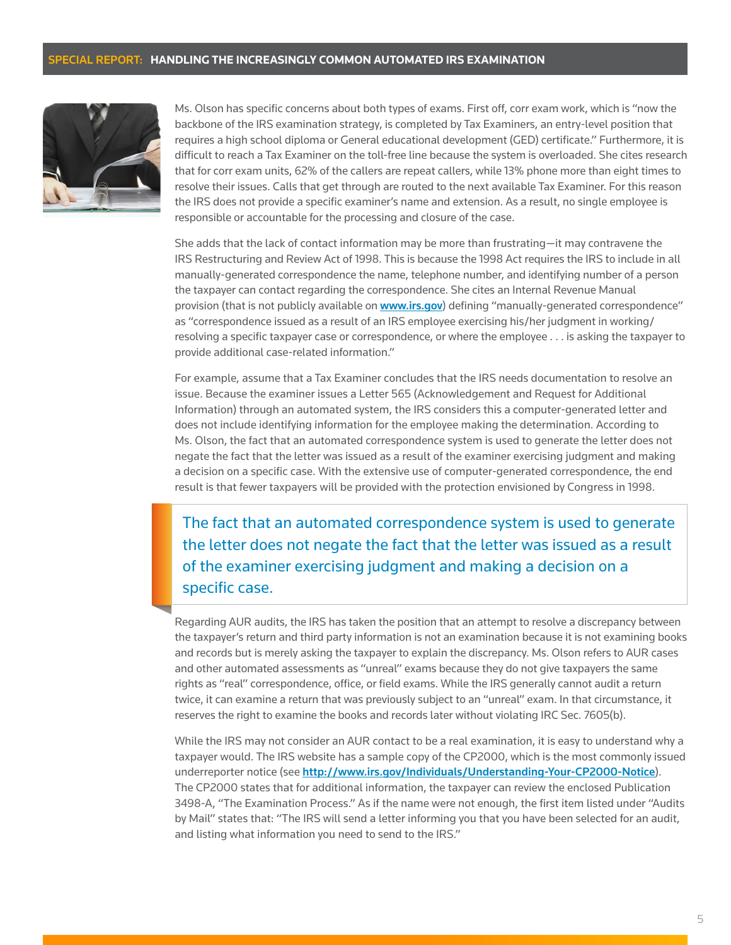

Ms. Olson has specific concerns about both types of exams. First off, corr exam work, which is "now the backbone of the IRS examination strategy, is completed by Tax Examiners, an entry-level position that requires a high school diploma or General educational development (GED) certificate." Furthermore, it is difficult to reach a Tax Examiner on the toll-free line because the system is overloaded. She cites research that for corr exam units, 62% of the callers are repeat callers, while 13% phone more than eight times to resolve their issues. Calls that get through are routed to the next available Tax Examiner. For this reason the IRS does not provide a specific examiner's name and extension. As a result, no single employee is responsible or accountable for the processing and closure of the case.

She adds that the lack of contact information may be more than frustrating—it may contravene the IRS Restructuring and Review Act of 1998. This is because the 1998 Act requires the IRS to include in all manually-generated correspondence the name, telephone number, and identifying number of a person the taxpayer can contact regarding the correspondence. She cites an Internal Revenue Manual provision (that is not publicly available on <www.irs.gov>) defining "manually-generated correspondence" as "correspondence issued as a result of an IRS employee exercising his/her judgment in working/ resolving a specific taxpayer case or correspondence, or where the employee . . . is asking the taxpayer to provide additional case-related information."

For example, assume that a Tax Examiner concludes that the IRS needs documentation to resolve an issue. Because the examiner issues a Letter 565 (Acknowledgement and Request for Additional Information) through an automated system, the IRS considers this a computer-generated letter and does not include identifying information for the employee making the determination. According to Ms. Olson, the fact that an automated correspondence system is used to generate the letter does not negate the fact that the letter was issued as a result of the examiner exercising judgment and making a decision on a specific case. With the extensive use of computer-generated correspondence, the end result is that fewer taxpayers will be provided with the protection envisioned by Congress in 1998.

The fact that an automated correspondence system is used to generate the letter does not negate the fact that the letter was issued as a result of the examiner exercising judgment and making a decision on a specific case.

Regarding AUR audits, the IRS has taken the position that an attempt to resolve a discrepancy between the taxpayer's return and third party information is not an examination because it is not examining books and records but is merely asking the taxpayer to explain the discrepancy. Ms. Olson refers to AUR cases and other automated assessments as "unreal" exams because they do not give taxpayers the same rights as "real" correspondence, office, or field exams. While the IRS generally cannot audit a return twice, it can examine a return that was previously subject to an "unreal" exam. In that circumstance, it reserves the right to examine the books and records later without violating IRC Sec. 7605(b).

While the IRS may not consider an AUR contact to be a real examination, it is easy to understand why a taxpayer would. The IRS website has a sample copy of the CP2000, which is the most commonly issued underreporter notice (see http://www.irs.gov/Individuals/Understanding-Your-CP2000-Notice). The CP2000 states that for additional information, the taxpayer can review the enclosed Publication 3498-A, "The Examination Process." As if the name were not enough, the first item listed under "Audits by Mail" states that: "The IRS will send a letter informing you that you have been selected for an audit, and listing what information you need to send to the IRS."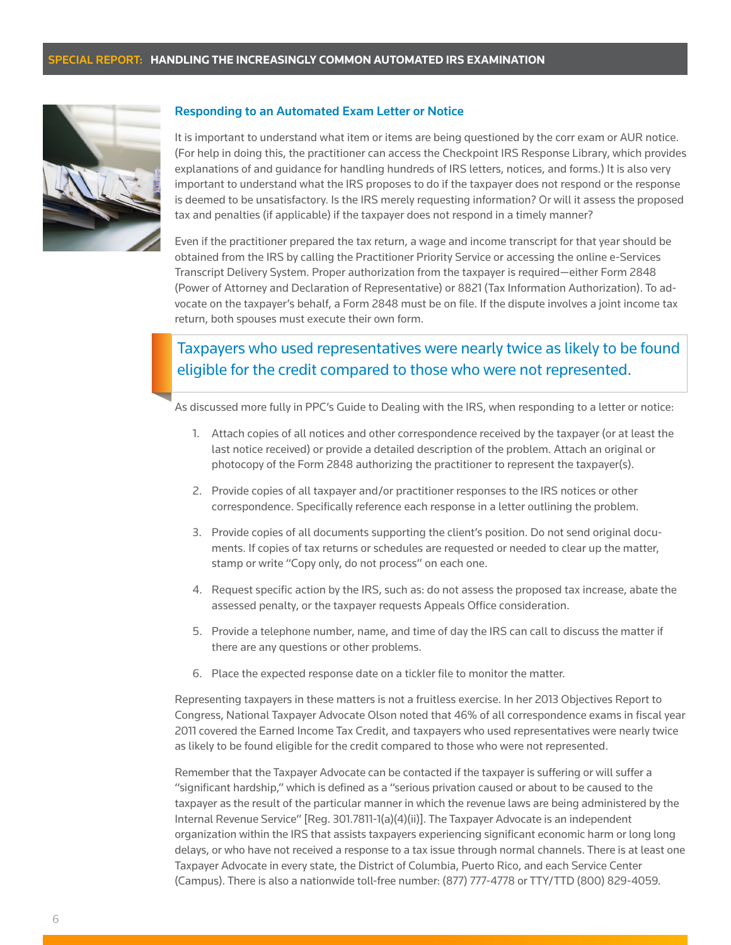

#### Responding to an Automated Exam Letter or Notice

It is important to understand what item or items are being questioned by the corr exam or AUR notice. (For help in doing this, the practitioner can access the Checkpoint IRS Response Library, which provides explanations of and guidance for handling hundreds of IRS letters, notices, and forms.) It is also very important to understand what the IRS proposes to do if the taxpayer does not respond or the response is deemed to be unsatisfactory. Is the IRS merely requesting information? Or will it assess the proposed tax and penalties (if applicable) if the taxpayer does not respond in a timely manner?

Even if the practitioner prepared the tax return, a wage and income transcript for that year should be obtained from the IRS by calling the Practitioner Priority Service or accessing the online e-Services Transcript Delivery System. Proper authorization from the taxpayer is required—either Form 2848 (Power of Attorney and Declaration of Representative) or 8821 (Tax Information Authorization). To advocate on the taxpayer's behalf, a Form 2848 must be on file. If the dispute involves a joint income tax return, both spouses must execute their own form.

## Taxpayers who used representatives were nearly twice as likely to be found eligible for the credit compared to those who were not represented.

As discussed more fully in PPC's Guide to Dealing with the IRS, when responding to a letter or notice:

- 1. Attach copies of all notices and other correspondence received by the taxpayer (or at least the last notice received) or provide a detailed description of the problem. Attach an original or photocopy of the Form 2848 authorizing the practitioner to represent the taxpayer(s).
- 2. Provide copies of all taxpayer and/or practitioner responses to the IRS notices or other correspondence. Specifically reference each response in a letter outlining the problem.
- 3. Provide copies of all documents supporting the client's position. Do not send original documents. If copies of tax returns or schedules are requested or needed to clear up the matter, stamp or write "Copy only, do not process" on each one.
- 4. Request specific action by the IRS, such as: do not assess the proposed tax increase, abate the assessed penalty, or the taxpayer requests Appeals Office consideration.
- 5. Provide a telephone number, name, and time of day the IRS can call to discuss the matter if there are any questions or other problems.
- 6. Place the expected response date on a tickler file to monitor the matter.

Representing taxpayers in these matters is not a fruitless exercise. In her 2013 Objectives Report to Congress, National Taxpayer Advocate Olson noted that 46% of all correspondence exams in fiscal year 2011 covered the Earned Income Tax Credit, and taxpayers who used representatives were nearly twice as likely to be found eligible for the credit compared to those who were not represented.

Remember that the Taxpayer Advocate can be contacted if the taxpayer is suffering or will suffer a "significant hardship," which is defined as a "serious privation caused or about to be caused to the taxpayer as the result of the particular manner in which the revenue laws are being administered by the Internal Revenue Service" [Reg. 301.7811-1(a)(4)(ii)]. The Taxpayer Advocate is an independent organization within the IRS that assists taxpayers experiencing significant economic harm or long long delays, or who have not received a response to a tax issue through normal channels. There is at least one Taxpayer Advocate in every state, the District of Columbia, Puerto Rico, and each Service Center (Campus). There is also a nationwide toll-free number: (877) 777-4778 or TTY/TTD (800) 829-4059.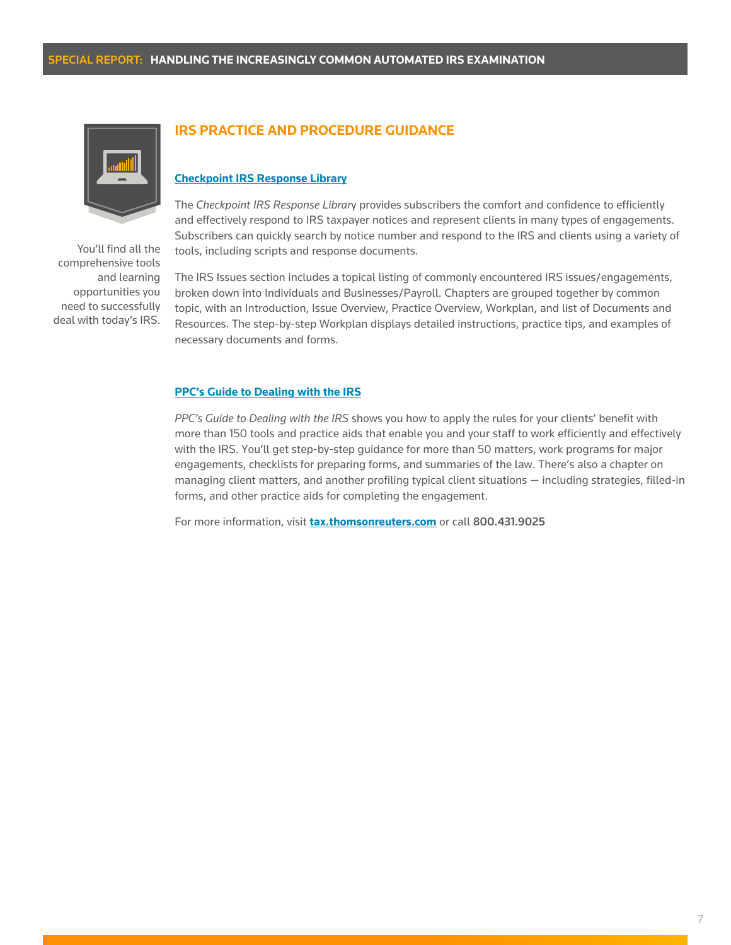

You'll find all the comprehensive tools and learning opportunities you need to successfully deal with today's IRS.

### **IRS PRACTICE AND PROCEDURE GUIDANCE**

#### **[Checkpoint IRS Response Library](Tax.ThomsonReuters.com/IRSCorrExam)**

The *Checkpoint IRS Response Librar*y provides subscribers the comfort and confidence to efficiently and effectively respond to IRS taxpayer notices and represent clients in many types of engagements. Subscribers can quickly search by notice number and respond to the IRS and clients using a variety of tools, including scripts and response documents.

The IRS Issues section includes a topical listing of commonly encountered IRS issues/engagements, broken down into Individuals and Businesses/Payroll. Chapters are grouped together by common topic, with an Introduction, Issue Overview, Practice Overview, Workplan, and list of Documents and Resources. The step-by-step Workplan displays detailed instructions, practice tips, and examples of necessary documents and forms.

#### **[PPC's Guide to Dealing with the IRS](http://store.tax.thomsonreuters.com/accounting/Tax/PPCs-Guide-to-Dealing-with-the-IRS/p/100200238)**

*PPC's Guide to Dealing with the IRS* shows you how to apply the rules for your clients' benefit with more than 150 tools and practice aids that enable you and your staff to work efficiently and effectively with the IRS. You'll get step-by-step guidance for more than 50 matters, work programs for major engagements, checklists for preparing forms, and summaries of the law. There's also a chapter on managing client matters, and another profiling typical client situations — including strategies, filled-in forms, and other practice aids for completing the engagement.

For more information, visit **[tax.thomsonreuters.com](http://tax.thomsonreuters.com)** or call 800.431.9025